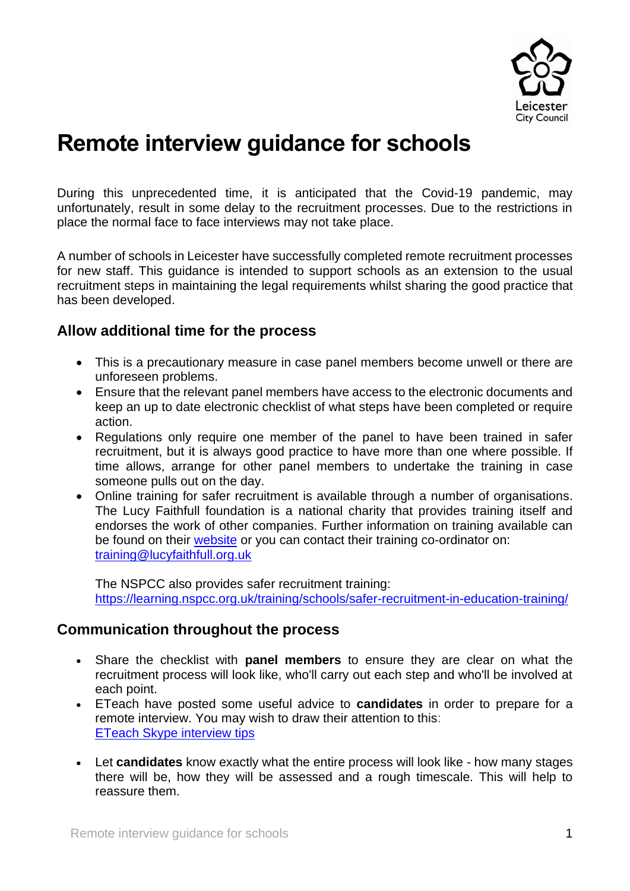

# **Remote interview guidance for schools**

During this unprecedented time, it is anticipated that the Covid-19 pandemic, may unfortunately, result in some delay to the recruitment processes. Due to the restrictions in place the normal face to face interviews may not take place.

A number of schools in Leicester have successfully completed remote recruitment processes for new staff. This guidance is intended to support schools as an extension to the usual recruitment steps in maintaining the legal requirements whilst sharing the good practice that has been developed.

## **Allow additional time for the process**

- This is a precautionary measure in case panel members become unwell or there are unforeseen problems.
- Ensure that the relevant panel members have access to the electronic documents and keep an up to date electronic checklist of what steps have been completed or require action.
- Regulations only require one member of the panel to have been trained in safer recruitment, but it is always good practice to have more than one where possible. If time allows, arrange for other panel members to undertake the training in case someone pulls out on the day.
- Online training for safer recruitment is available through a number of organisations. The Lucy Faithfull foundation is a national charity that provides training itself and endorses the work of other companies. Further information on training available can be found on their [website](https://www.lucyfaithfull.org.uk/) or you can contact their training co-ordinator on: [training@lucyfaithfull.org.uk](mailto:training@lucyfaithfull.org.uk)

The NSPCC also provides safer recruitment training: <https://learning.nspcc.org.uk/training/schools/safer-recruitment-in-education-training/>

### **Communication throughout the process**

- Share the checklist with **panel members** to ensure they are clear on what the recruitment process will look like, who'll carry out each step and who'll be involved at each point.
- ETeach have posted some useful advice to **candidates** in order to prepare for a remote interview. You may wish to draw their attention to this: [ETeach Skype interview tips](https://www.eteach.com/blog/skype-interview-tips?utm_source=email&utm_medium=email&utm_campaign=etb2c001+candidate+newsletter+2020+april&dm_i=4UTN,BM3I,15KYD8,1A5OK,1)
- Let **candidates** know exactly what the entire process will look like how many stages there will be, how they will be assessed and a rough timescale. This will help to reassure them.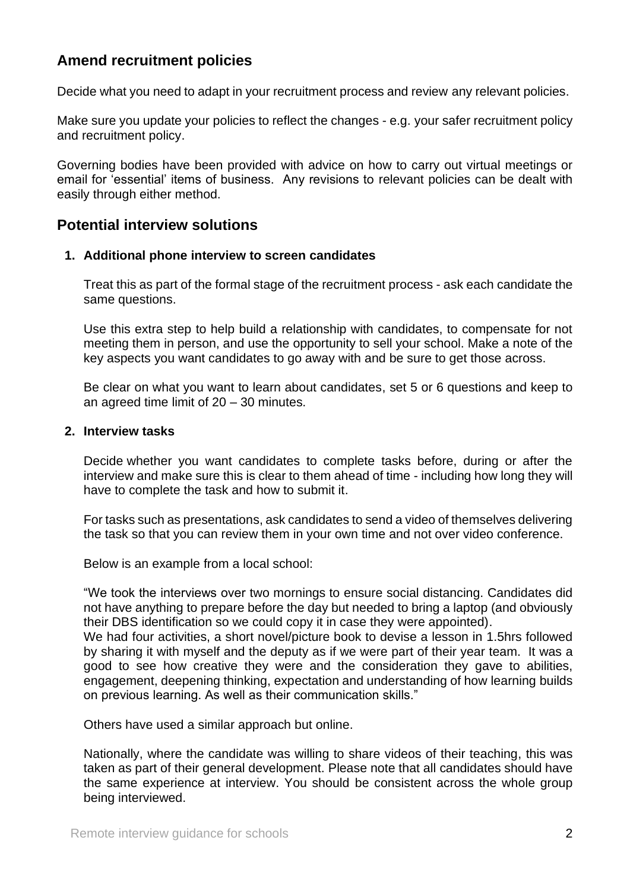## **Amend recruitment policies**

Decide what you need to adapt in your recruitment process and review any relevant policies.

Make sure you update your policies to reflect the changes - e.g. your safer recruitment policy and recruitment policy.

Governing bodies have been provided with advice on how to carry out virtual meetings or email for 'essential' items of business. Any revisions to relevant policies can be dealt with easily through either method.

#### **Potential interview solutions**

#### **1. Additional phone interview to screen candidates**

Treat this as part of the formal stage of the recruitment process - ask each candidate the same questions.

Use this extra step to help build a relationship with candidates, to compensate for not meeting them in person, and use the opportunity to sell your school. Make a note of the key aspects you want candidates to go away with and be sure to get those across.

Be clear on what you want to learn about candidates, set 5 or 6 questions and keep to an agreed time limit of 20 – 30 minutes.

#### **2. Interview tasks**

Decide whether you want candidates to complete tasks before, during or after the interview and make sure this is clear to them ahead of time - including how long they will have to complete the task and how to submit it.

For tasks such as presentations, ask candidates to send a video of themselves delivering the task so that you can review them in your own time and not over video conference.

Below is an example from a local school:

"We took the interviews over two mornings to ensure social distancing. Candidates did not have anything to prepare before the day but needed to bring a laptop (and obviously their DBS identification so we could copy it in case they were appointed).

We had four activities, a short novel/picture book to devise a lesson in 1.5hrs followed by sharing it with myself and the deputy as if we were part of their year team. It was a good to see how creative they were and the consideration they gave to abilities, engagement, deepening thinking, expectation and understanding of how learning builds on previous learning. As well as their communication skills."

Others have used a similar approach but online.

Nationally, where the candidate was willing to share videos of their teaching, this was taken as part of their general development. Please note that all candidates should have the same experience at interview. You should be consistent across the whole group being interviewed.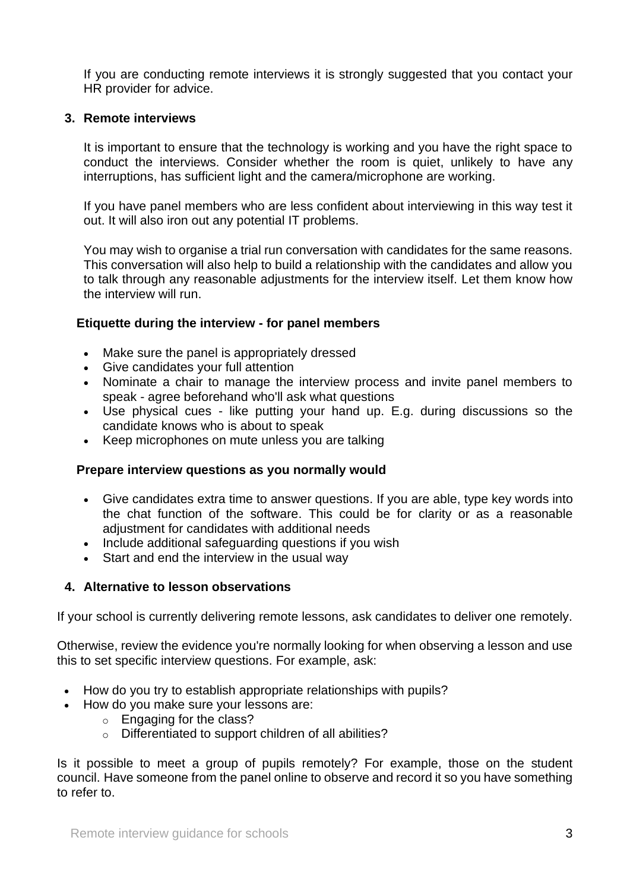If you are conducting remote interviews it is strongly suggested that you contact your HR provider for advice.

#### **3. Remote interviews**

It is important to ensure that the technology is working and you have the right space to conduct the interviews. Consider whether the room is quiet, unlikely to have any interruptions, has sufficient light and the camera/microphone are working.

If you have panel members who are less confident about interviewing in this way test it out. It will also iron out any potential IT problems.

You may wish to organise a trial run conversation with candidates for the same reasons. This conversation will also help to build a relationship with the candidates and allow you to talk through any reasonable adjustments for the interview itself. Let them know how the interview will run.

#### **Etiquette during the interview - for panel members**

- Make sure the panel is appropriately dressed
- Give candidates your full attention
- Nominate a chair to manage the interview process and invite panel members to speak - agree beforehand who'll ask what questions
- Use physical cues like putting your hand up. E.g. during discussions so the candidate knows who is about to speak
- Keep microphones on mute unless you are talking

#### **Prepare interview questions as you normally would**

- Give candidates extra time to answer questions. If you are able, type key words into the chat function of the software. This could be for clarity or as a reasonable adjustment for candidates with additional needs
- Include additional safeguarding questions if you wish
- Start and end the interview in the usual way

#### **4. Alternative to lesson observations**

If your school is currently delivering remote lessons, ask candidates to deliver one remotely.

Otherwise, review the evidence you're normally looking for when observing a lesson and use this to set specific interview questions. For example, ask:

- How do you try to establish appropriate relationships with pupils?
- How do you make sure your lessons are:
	- o Engaging for the class?
	- o Differentiated to support children of all abilities?

Is it possible to meet a group of pupils remotely? For example, those on the student council. Have someone from the panel online to observe and record it so you have something to refer to.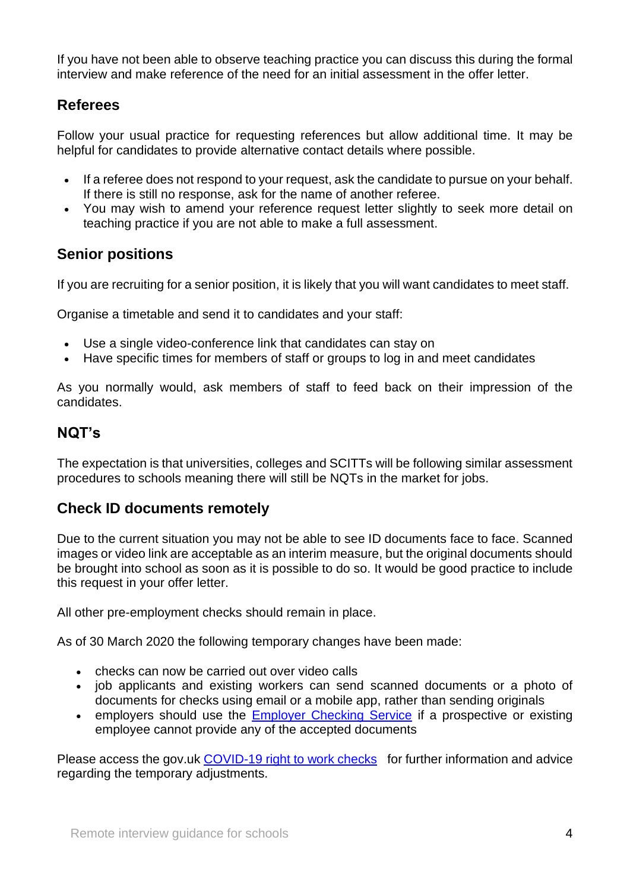If you have not been able to observe teaching practice you can discuss this during the formal interview and make reference of the need for an initial assessment in the offer letter.

# **Referees**

Follow your usual practice for requesting references but allow additional time. It may be helpful for candidates to provide alternative contact details where possible.

- If a referee does not respond to your request, ask the candidate to pursue on your behalf. If there is still no response, ask for the name of another referee.
- You may wish to amend your reference request letter slightly to seek more detail on teaching practice if you are not able to make a full assessment.

## **Senior positions**

If you are recruiting for a senior position, it is likely that you will want candidates to meet staff.

Organise a timetable and send it to candidates and your staff:

- Use a single video-conference link that candidates can stay on
- Have specific times for members of staff or groups to log in and meet candidates

As you normally would, ask members of staff to feed back on their impression of the candidates.

## **NQT's**

The expectation is that universities, colleges and SCITTs will be following similar assessment procedures to schools meaning there will still be NQTs in the market for jobs.

## **Check ID documents remotely**

Due to the current situation you may not be able to see ID documents face to face. Scanned images or video link are acceptable as an interim measure, but the original documents should be brought into school as soon as it is possible to do so. It would be good practice to include this request in your offer letter.

All other pre-employment checks should remain in place.

As of 30 March 2020 the following temporary changes have been made:

- checks can now be carried out over video calls
- job applicants and existing workers can send scanned documents or a photo of documents for checks using email or a mobile app, rather than sending originals
- employers should use the [Employer Checking Service](https://www.gov.uk/employee-immigration-employment-status) if a prospective or existing employee cannot provide any of the accepted documents

Please access the gov.uk [COVID-19 right to work checks](https://www.gov.uk/guidance/coronavirus-covid-19-right-to-work-checks) for further information and advice regarding the temporary adjustments.